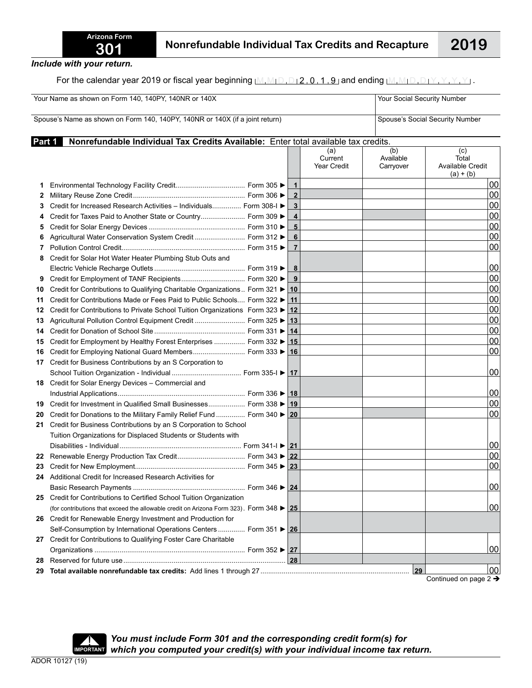For the calendar year 2019 or fiscal year beginning  $M_1M_1D_1D_12_10_11_19_1$  and ending  $M_1M_1D_1D_1Y_1Y_1Y_1Y_1$ .

| Your Name as shown on Form 140, 140PY, 140NR or 140X<br>Spouse's Name as shown on Form 140, 140PY, 140NR or 140X (if a joint return) |                                                                                                             |  |                |                               | Your Social Security Number<br>Spouse's Social Security Number |                                                 |  |
|--------------------------------------------------------------------------------------------------------------------------------------|-------------------------------------------------------------------------------------------------------------|--|----------------|-------------------------------|----------------------------------------------------------------|-------------------------------------------------|--|
|                                                                                                                                      |                                                                                                             |  |                |                               |                                                                |                                                 |  |
|                                                                                                                                      |                                                                                                             |  |                | (a)<br>Current<br>Year Credit | (b)<br>Available<br>Carryover                                  | (c)<br>Total<br>Available Credit<br>$(a) + (b)$ |  |
| 1                                                                                                                                    |                                                                                                             |  | $\mathbf 1$    |                               |                                                                | 00                                              |  |
| 2                                                                                                                                    |                                                                                                             |  | $\mathbf{2}$   |                               |                                                                | 00                                              |  |
| 3                                                                                                                                    | Credit for Increased Research Activities - Individuals Form 308-I ►                                         |  | 3              |                               |                                                                | 00                                              |  |
| 4                                                                                                                                    | Credit for Taxes Paid to Another State or Country Form 309 ▶                                                |  | 4              |                               |                                                                | 00                                              |  |
| 5                                                                                                                                    |                                                                                                             |  | 5              |                               |                                                                | 00                                              |  |
| 6                                                                                                                                    | Agricultural Water Conservation System Credit  Form 312 ▶                                                   |  | 6              |                               |                                                                | 00                                              |  |
| 7                                                                                                                                    |                                                                                                             |  | $\overline{7}$ |                               |                                                                | 00                                              |  |
| 8                                                                                                                                    | Credit for Solar Hot Water Heater Plumbing Stub Outs and                                                    |  |                |                               |                                                                |                                                 |  |
|                                                                                                                                      |                                                                                                             |  | 8              |                               |                                                                | 100                                             |  |
| 9                                                                                                                                    |                                                                                                             |  | 9              |                               |                                                                | 00                                              |  |
| 10                                                                                                                                   | Credit for Contributions to Qualifying Charitable Organizations Form 321 ▶                                  |  | 10             |                               |                                                                | 00                                              |  |
| 11                                                                                                                                   | Credit for Contributions Made or Fees Paid to Public Schools Form 322 ▶                                     |  | 11             |                               |                                                                | 00                                              |  |
| 12                                                                                                                                   | Credit for Contributions to Private School Tuition Organizations Form 323 ▶                                 |  | $12 \,$        |                               |                                                                | 00                                              |  |
| 13                                                                                                                                   | Agricultural Pollution Control Equipment Credit  Form 325 ▶                                                 |  | 13             |                               |                                                                | 00                                              |  |
| 14                                                                                                                                   |                                                                                                             |  | 14             |                               |                                                                | 00                                              |  |
| 15                                                                                                                                   | Credit for Employment by Healthy Forest Enterprises  Form 332 ▶                                             |  | 15             |                               |                                                                | 00                                              |  |
| 16                                                                                                                                   | Credit for Employing National Guard Members Form 333 ▶ 16                                                   |  |                |                               |                                                                | 00                                              |  |
|                                                                                                                                      | 17 Credit for Business Contributions by an S Corporation to                                                 |  |                |                               |                                                                |                                                 |  |
|                                                                                                                                      |                                                                                                             |  |                |                               |                                                                | 00                                              |  |
|                                                                                                                                      | 18 Credit for Solar Energy Devices - Commercial and                                                         |  |                |                               |                                                                |                                                 |  |
|                                                                                                                                      |                                                                                                             |  |                |                               |                                                                | 00                                              |  |
| 19                                                                                                                                   | Credit for Investment in Qualified Small Businesses Form 338 ▶ 19                                           |  |                |                               |                                                                | 00                                              |  |
| 20                                                                                                                                   | Credit for Donations to the Military Family Relief Fund  Form 340 ▶ 20                                      |  |                |                               |                                                                | 00                                              |  |
| 21                                                                                                                                   | Credit for Business Contributions by an S Corporation to School                                             |  |                |                               |                                                                |                                                 |  |
|                                                                                                                                      | Tuition Organizations for Displaced Students or Students with                                               |  |                |                               |                                                                |                                                 |  |
|                                                                                                                                      |                                                                                                             |  |                |                               |                                                                | 00                                              |  |
| 22                                                                                                                                   |                                                                                                             |  |                |                               |                                                                | 00                                              |  |
| 23                                                                                                                                   |                                                                                                             |  |                |                               |                                                                | 00                                              |  |
| 24                                                                                                                                   | Additional Credit for Increased Research Activities for                                                     |  |                |                               |                                                                |                                                 |  |
|                                                                                                                                      |                                                                                                             |  |                |                               |                                                                | 00                                              |  |
| 25                                                                                                                                   | Credit for Contributions to Certified School Tuition Organization                                           |  |                |                               |                                                                |                                                 |  |
|                                                                                                                                      | (for contributions that exceed the allowable credit on Arizona Form 323). Form 348 $\blacktriangleright$ 25 |  |                |                               |                                                                | 00                                              |  |
| 26                                                                                                                                   | Credit for Renewable Energy Investment and Production for                                                   |  |                |                               |                                                                |                                                 |  |
|                                                                                                                                      | Self-Consumption by International Operations Centers  Form 351 ▶ 26                                         |  |                |                               |                                                                |                                                 |  |
| 27                                                                                                                                   | Credit for Contributions to Qualifying Foster Care Charitable                                               |  |                |                               |                                                                |                                                 |  |
|                                                                                                                                      |                                                                                                             |  |                |                               |                                                                | 00                                              |  |
| 28                                                                                                                                   |                                                                                                             |  | 28             |                               |                                                                |                                                 |  |
| 29                                                                                                                                   |                                                                                                             |  |                |                               | 29                                                             | 00                                              |  |

Continued on page  $2 \rightarrow$ 



*You must include Form 301 and the corresponding credit form(s) for* which you computed your credit(s) with your individual income tax return.